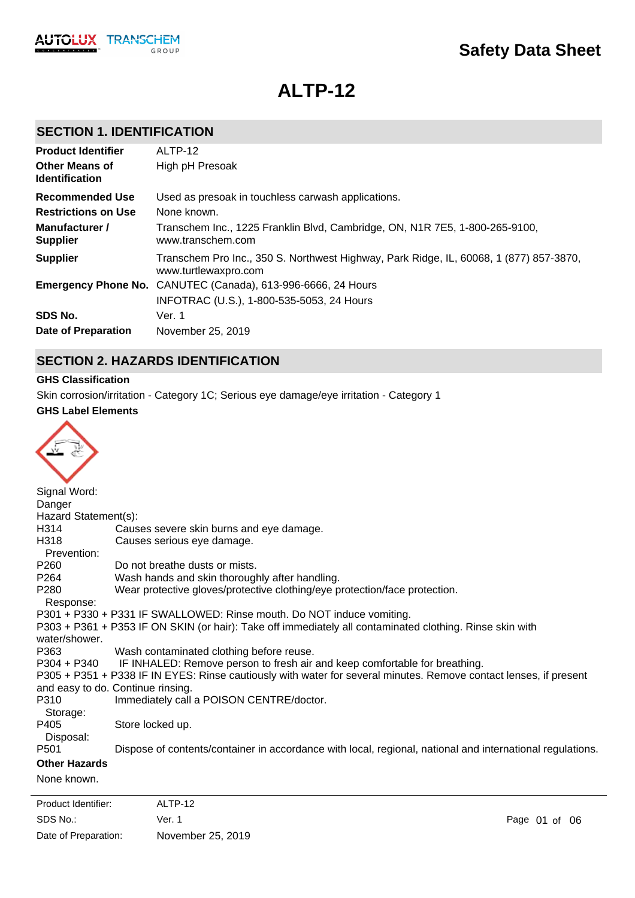# **ALTP-12**

### **SECTION 1. IDENTIFICATION**

| <b>Product Identifier</b>                      | ALTP-12                                                                                                        |
|------------------------------------------------|----------------------------------------------------------------------------------------------------------------|
| <b>Other Means of</b><br><b>Identification</b> | High pH Presoak                                                                                                |
| Recommended Use                                | Used as presoak in touchless carwash applications.                                                             |
| <b>Restrictions on Use</b>                     | None known.                                                                                                    |
| Manufacturer /<br><b>Supplier</b>              | Transchem Inc., 1225 Franklin Blvd, Cambridge, ON, N1R 7E5, 1-800-265-9100,<br>www.transchem.com               |
| <b>Supplier</b>                                | Transchem Pro Inc., 350 S. Northwest Highway, Park Ridge, IL, 60068, 1 (877) 857-3870,<br>www.turtlewaxpro.com |
|                                                | Emergency Phone No. CANUTEC (Canada), 613-996-6666, 24 Hours                                                   |
|                                                | INFOTRAC (U.S.), 1-800-535-5053, 24 Hours                                                                      |
| SDS No.                                        | Ver. 1                                                                                                         |
| Date of Preparation                            | November 25, 2019                                                                                              |

### **SECTION 2. HAZARDS IDENTIFICATION**

#### **GHS Classification**

Skin corrosion/irritation - Category 1C; Serious eye damage/eye irritation - Category 1

#### **GHS Label Elements**

| Signal Word:         |                                                                                                                   |
|----------------------|-------------------------------------------------------------------------------------------------------------------|
| Danger               |                                                                                                                   |
| Hazard Statement(s): |                                                                                                                   |
| H314                 | Causes severe skin burns and eye damage.                                                                          |
| H318                 | Causes serious eye damage.                                                                                        |
| Prevention:          |                                                                                                                   |
| P <sub>260</sub>     | Do not breathe dusts or mists.                                                                                    |
| P <sub>264</sub>     | Wash hands and skin thoroughly after handling.                                                                    |
| P <sub>280</sub>     | Wear protective gloves/protective clothing/eye protection/face protection.                                        |
| Response:            |                                                                                                                   |
|                      | P301 + P330 + P331 IF SWALLOWED: Rinse mouth. Do NOT induce vomiting.                                             |
| water/shower.        | P303 + P361 + P353 IF ON SKIN (or hair): Take off immediately all contaminated clothing. Rinse skin with          |
| P363                 | Wash contaminated clothing before reuse.                                                                          |
| $P304 + P340$        | IF INHALED: Remove person to fresh air and keep comfortable for breathing.                                        |
|                      | P305 + P351 + P338 IF IN EYES: Rinse cautiously with water for several minutes. Remove contact lenses, if present |
|                      | and easy to do. Continue rinsing.                                                                                 |
| P310                 | Immediately call a POISON CENTRE/doctor.                                                                          |
| Storage:             |                                                                                                                   |
| P405                 | Store locked up.                                                                                                  |
| Disposal:            |                                                                                                                   |
| P <sub>501</sub>     | Dispose of contents/container in accordance with local, regional, national and international regulations.         |
| <b>Other Hazards</b> |                                                                                                                   |
| None known.          |                                                                                                                   |
|                      |                                                                                                                   |

SDS No.: Date of Preparation: Ver. 1 Page 01 of 06 November 25, 2019 Product Identifier: ALTP-12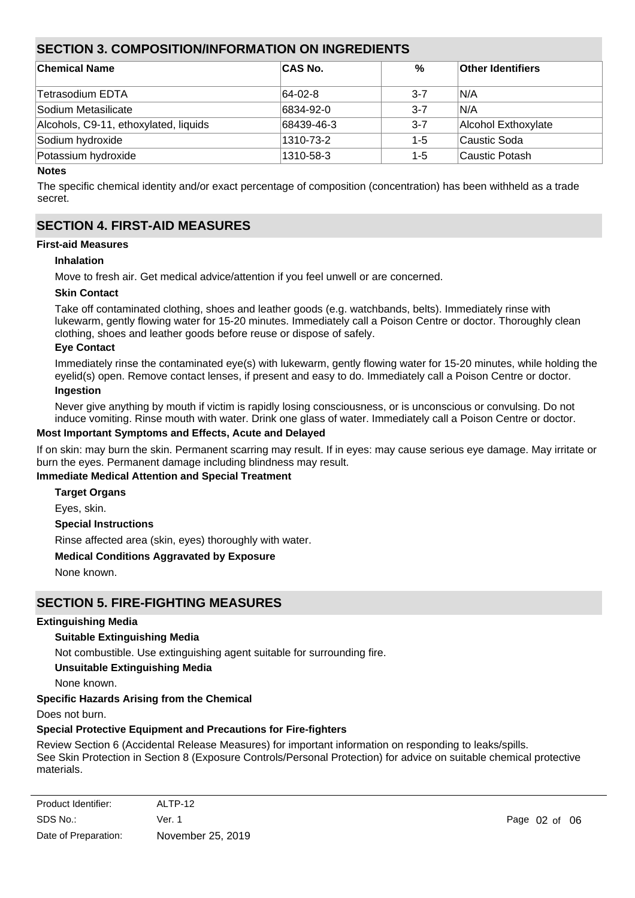### **SECTION 3. COMPOSITION/INFORMATION ON INGREDIENTS**

| <b>Chemical Name</b>                  | <b>CAS No.</b> | %       | <b>Other Identifiers</b> |
|---------------------------------------|----------------|---------|--------------------------|
|                                       |                |         |                          |
| ∣Tetrasodium EDTA                     | 64-02-8        | $3 - 7$ | IN/A                     |
| Sodium Metasilicate                   | 6834-92-0      | $3 - 7$ | IN/A                     |
| Alcohols, C9-11, ethoxylated, liquids | 68439-46-3     | $3 - 7$ | Alcohol Exthoxylate      |
| Sodium hydroxide                      | 1310-73-2      | $1 - 5$ | Caustic Soda             |
| Potassium hydroxide                   | 1310-58-3      | $1 - 5$ | lCaustic Potash          |
| .                                     |                |         |                          |

#### **Notes**

The specific chemical identity and/or exact percentage of composition (concentration) has been withheld as a trade secret.

### **SECTION 4. FIRST-AID MEASURES**

#### **First-aid Measures**

#### **Inhalation**

Move to fresh air. Get medical advice/attention if you feel unwell or are concerned.

#### **Skin Contact**

Take off contaminated clothing, shoes and leather goods (e.g. watchbands, belts). Immediately rinse with lukewarm, gently flowing water for 15-20 minutes. Immediately call a Poison Centre or doctor. Thoroughly clean clothing, shoes and leather goods before reuse or dispose of safely.

#### **Eye Contact**

Immediately rinse the contaminated eye(s) with lukewarm, gently flowing water for 15-20 minutes, while holding the eyelid(s) open. Remove contact lenses, if present and easy to do. Immediately call a Poison Centre or doctor.

#### **Ingestion**

Never give anything by mouth if victim is rapidly losing consciousness, or is unconscious or convulsing. Do not induce vomiting. Rinse mouth with water. Drink one glass of water. Immediately call a Poison Centre or doctor.

#### **Most Important Symptoms and Effects, Acute and Delayed**

If on skin: may burn the skin. Permanent scarring may result. If in eyes: may cause serious eye damage. May irritate or burn the eyes. Permanent damage including blindness may result.

#### **Immediate Medical Attention and Special Treatment**

**Target Organs**

Eyes, skin.

**Special Instructions**

Rinse affected area (skin, eyes) thoroughly with water.

#### **Medical Conditions Aggravated by Exposure**

None known.

### **SECTION 5. FIRE-FIGHTING MEASURES**

#### **Extinguishing Media**

#### **Suitable Extinguishing Media**

Not combustible. Use extinguishing agent suitable for surrounding fire.

#### **Unsuitable Extinguishing Media**

None known.

#### **Specific Hazards Arising from the Chemical**

Does not burn.

#### **Special Protective Equipment and Precautions for Fire-fighters**

Review Section 6 (Accidental Release Measures) for important information on responding to leaks/spills. See Skin Protection in Section 8 (Exposure Controls/Personal Protection) for advice on suitable chemical protective materials.

| Product Identifier:  | ALTP-12           |
|----------------------|-------------------|
| SDS No.:             | Ver. 1            |
| Date of Preparation: | November 25, 2019 |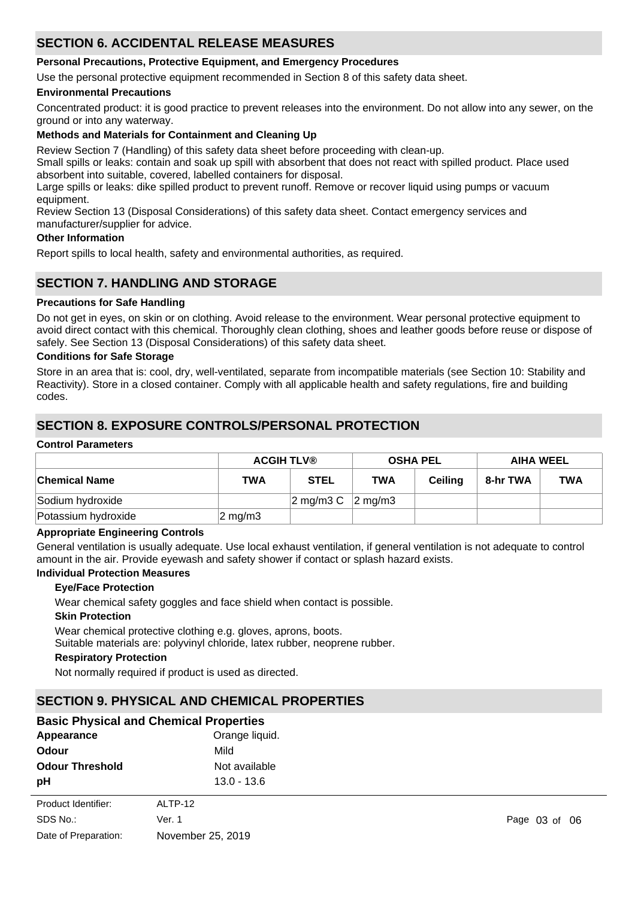### **SECTION 6. ACCIDENTAL RELEASE MEASURES**

#### **Personal Precautions, Protective Equipment, and Emergency Procedures**

Use the personal protective equipment recommended in Section 8 of this safety data sheet.

#### **Environmental Precautions**

Concentrated product: it is good practice to prevent releases into the environment. Do not allow into any sewer, on the ground or into any waterway.

#### **Methods and Materials for Containment and Cleaning Up**

Review Section 7 (Handling) of this safety data sheet before proceeding with clean-up.

Small spills or leaks: contain and soak up spill with absorbent that does not react with spilled product. Place used absorbent into suitable, covered, labelled containers for disposal.

Large spills or leaks: dike spilled product to prevent runoff. Remove or recover liquid using pumps or vacuum equipment.

Review Section 13 (Disposal Considerations) of this safety data sheet. Contact emergency services and manufacturer/supplier for advice.

#### **Other Information**

Report spills to local health, safety and environmental authorities, as required.

### **SECTION 7. HANDLING AND STORAGE**

#### **Precautions for Safe Handling**

Do not get in eyes, on skin or on clothing. Avoid release to the environment. Wear personal protective equipment to avoid direct contact with this chemical. Thoroughly clean clothing, shoes and leather goods before reuse or dispose of safely. See Section 13 (Disposal Considerations) of this safety data sheet.

#### **Conditions for Safe Storage**

Store in an area that is: cool, dry, well-ventilated, separate from incompatible materials (see Section 10: Stability and Reactivity). Store in a closed container. Comply with all applicable health and safety regulations, fire and building codes.

### **SECTION 8. EXPOSURE CONTROLS/PERSONAL PROTECTION**

#### **Control Parameters**

|                     | <b>ACGIH TLV®</b>  |                                     | <b>OSHA PEL</b> |         | <b>AIHA WEEL</b> |            |
|---------------------|--------------------|-------------------------------------|-----------------|---------|------------------|------------|
| ∣Chemical Name      | TWA                | <b>STEL</b>                         | TWA             | Ceiling | 8-hr TWA         | <b>TWA</b> |
| Sodium hydroxide    |                    | $\sqrt{2}$ mg/m3 C $\sqrt{2}$ mg/m3 |                 |         |                  |            |
| Potassium hydroxide | $2 \text{ mg/m}$ 3 |                                     |                 |         |                  |            |

#### **Appropriate Engineering Controls**

General ventilation is usually adequate. Use local exhaust ventilation, if general ventilation is not adequate to control amount in the air. Provide eyewash and safety shower if contact or splash hazard exists.

#### **Individual Protection Measures**

#### **Eye/Face Protection**

Wear chemical safety goggles and face shield when contact is possible.

#### **Skin Protection**

Wear chemical protective clothing e.g. gloves, aprons, boots.

Suitable materials are: polyvinyl chloride, latex rubber, neoprene rubber.

#### **Respiratory Protection**

Not normally required if product is used as directed.

### **SECTION 9. PHYSICAL AND CHEMICAL PROPERTIES**

| <b>Basic Physical and Chemical Properties</b> |                |
|-----------------------------------------------|----------------|
| Appearance                                    | Orange liquid. |

| .                      | orango ngarar     |
|------------------------|-------------------|
| <b>Odour</b>           | Mild              |
| <b>Odour Threshold</b> | Not available     |
| рH                     | $13.0 - 13.6$     |
| Product Identifier:    | ALTP-12           |
| SDS No.:               | Ver. 1            |
| Date of Preparation:   | November 25, 2019 |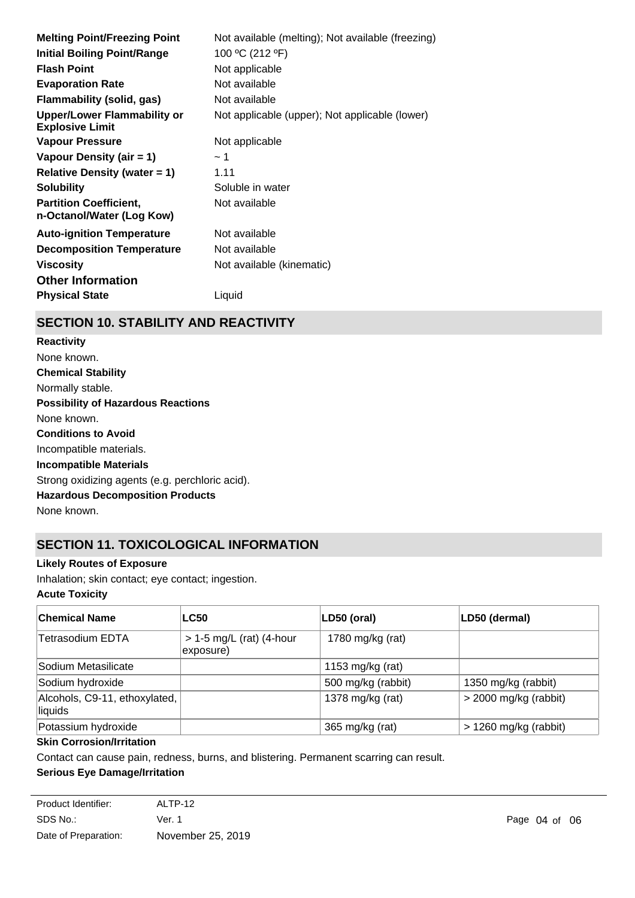| <b>Melting Point/Freezing Point</b>                          | Not available (melting); Not available (freezing) |
|--------------------------------------------------------------|---------------------------------------------------|
| <b>Initial Boiling Point/Range</b>                           | 100 °C (212 °F)                                   |
| <b>Flash Point</b>                                           | Not applicable                                    |
| <b>Evaporation Rate</b>                                      | Not available                                     |
| <b>Flammability (solid, gas)</b>                             | Not available                                     |
| <b>Upper/Lower Flammability or</b><br><b>Explosive Limit</b> | Not applicable (upper); Not applicable (lower)    |
| <b>Vapour Pressure</b>                                       | Not applicable                                    |
| Vapour Density (air = 1)                                     | ~1~                                               |
| Relative Density (water $= 1$ )                              | 1.11                                              |
| <b>Solubility</b>                                            | Soluble in water                                  |
| <b>Partition Coefficient,</b><br>n-Octanol/Water (Log Kow)   | Not available                                     |
| <b>Auto-ignition Temperature</b>                             | Not available                                     |
| <b>Decomposition Temperature</b>                             | Not available                                     |
| <b>Viscosity</b>                                             | Not available (kinematic)                         |
| <b>Other Information</b>                                     |                                                   |
| <b>Physical State</b>                                        | Liquid                                            |
|                                                              |                                                   |

## **SECTION 10. STABILITY AND REACTIVITY**

**Chemical Stability** Normally stable. **Conditions to Avoid** Incompatible materials. **Incompatible Materials** Strong oxidizing agents (e.g. perchloric acid). **Hazardous Decomposition Products** None known. **Possibility of Hazardous Reactions** None known. **Reactivity** None known.

## **SECTION 11. TOXICOLOGICAL INFORMATION**

#### **Likely Routes of Exposure**

Inhalation; skin contact; eye contact; ingestion.

**Acute Toxicity**

| <b>Chemical Name</b>                     | <b>LC50</b>                             | LD50 (oral)        | LD50 (dermal)           |
|------------------------------------------|-----------------------------------------|--------------------|-------------------------|
| Tetrasodium EDTA                         | $> 1-5$ mg/L (rat) (4-hour<br>exposure) | 1780 mg/kg (rat)   |                         |
| Sodium Metasilicate                      |                                         | 1153 mg/kg (rat)   |                         |
| Sodium hydroxide                         |                                         | 500 mg/kg (rabbit) | 1350 mg/kg (rabbit)     |
| Alcohols, C9-11, ethoxylated,<br>liquids |                                         | 1378 mg/kg (rat)   | $>$ 2000 mg/kg (rabbit) |
| Potassium hydroxide                      |                                         | 365 mg/kg (rat)    | $> 1260$ mg/kg (rabbit) |

#### **Skin Corrosion/Irritation**

Contact can cause pain, redness, burns, and blistering. Permanent scarring can result.

### **Serious Eye Damage/Irritation**

| Product Identifier:  | ALTP-12           |
|----------------------|-------------------|
| SDS No.:             | Ver. 1            |
| Date of Preparation: | November 25, 2019 |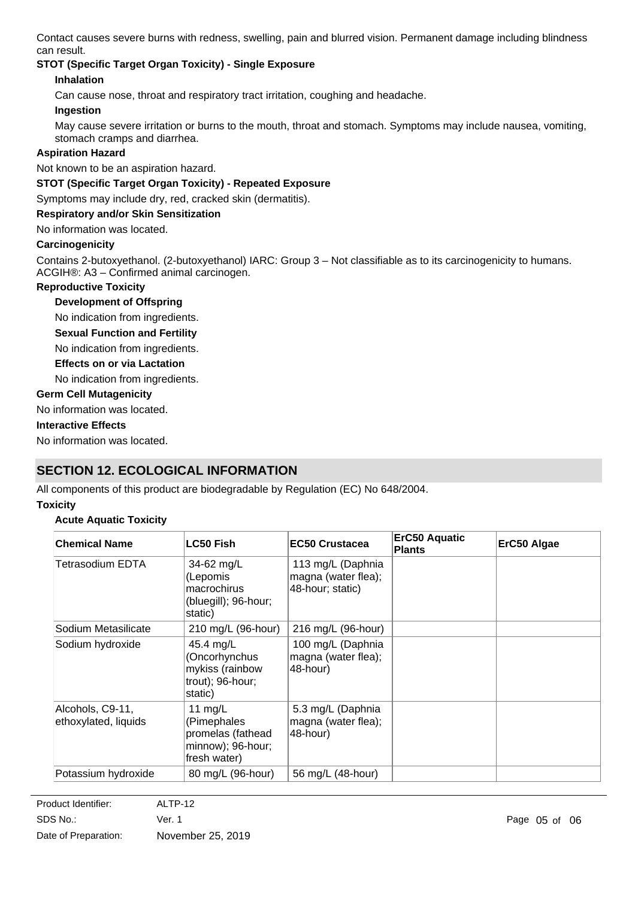Contact causes severe burns with redness, swelling, pain and blurred vision. Permanent damage including blindness can result.

### **STOT (Specific Target Organ Toxicity) - Single Exposure**

### **Inhalation**

Can cause nose, throat and respiratory tract irritation, coughing and headache.

#### **Ingestion**

May cause severe irritation or burns to the mouth, throat and stomach. Symptoms may include nausea, vomiting, stomach cramps and diarrhea.

#### **Aspiration Hazard**

Not known to be an aspiration hazard.

#### **STOT (Specific Target Organ Toxicity) - Repeated Exposure**

Symptoms may include dry, red, cracked skin (dermatitis).

#### **Respiratory and/or Skin Sensitization**

No information was located.

#### **Carcinogenicity**

Contains 2-butoxyethanol. (2-butoxyethanol) IARC: Group 3 – Not classifiable as to its carcinogenicity to humans. ACGIH®: A3 – Confirmed animal carcinogen.

#### **Reproductive Toxicity**

#### **Development of Offspring**

No indication from ingredients.

**Sexual Function and Fertility**

No indication from ingredients.

#### **Effects on or via Lactation**

No indication from ingredients.

#### **Germ Cell Mutagenicity**

No information was located.

#### **Interactive Effects**

No information was located.

### **SECTION 12. ECOLOGICAL INFORMATION**

All components of this product are biodegradable by Regulation (EC) No 648/2004.

#### **Toxicity**

#### **Acute Aquatic Toxicity**

| <b>Chemical Name</b>                     | <b>LC50 Fish</b>                                                                   | <b>EC50 Crustacea</b>                                        | ErC50 Aquatic<br>Plants | ErC50 Algae |
|------------------------------------------|------------------------------------------------------------------------------------|--------------------------------------------------------------|-------------------------|-------------|
| Tetrasodium EDTA                         | 34-62 mg/L<br>(Lepomis<br>macrochirus<br>(bluegill); 96-hour;<br>static)           | 113 mg/L (Daphnia<br>magna (water flea);<br>48-hour; static) |                         |             |
| Sodium Metasilicate                      | 210 mg/L (96-hour)                                                                 | 216 mg/L (96-hour)                                           |                         |             |
| Sodium hydroxide                         | 45.4 mg/L<br>(Oncorhynchus<br>mykiss (rainbow<br>trout); 96-hour;<br>static)       | 100 mg/L (Daphnia<br>magna (water flea);<br>48-hour)         |                         |             |
| Alcohols, C9-11,<br>ethoxylated, liquids | 11 $mg/L$<br>(Pimephales<br>promelas (fathead<br>minnow); 96-hour;<br>fresh water) | 5.3 mg/L (Daphnia<br>magna (water flea);<br>48-hour)         |                         |             |
| Potassium hydroxide                      | 80 mg/L (96-hour)                                                                  | 56 mg/L (48-hour)                                            |                         |             |